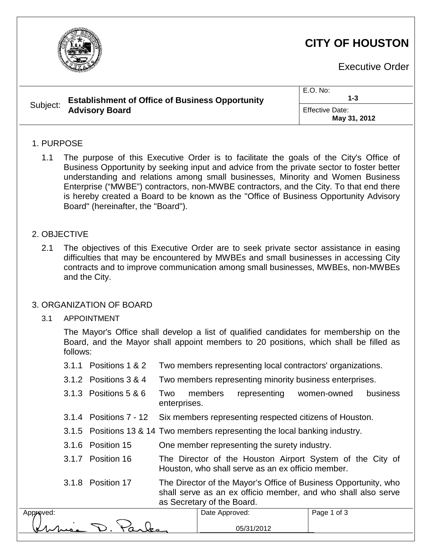

# **CITY OF HOUSTON**

Executive Order

| Subject: | <b>Establishment of Office of Business Opportunity</b><br><b>Advisory Board</b> | $E.O.$ No:<br>1-3               |
|----------|---------------------------------------------------------------------------------|---------------------------------|
|          |                                                                                 | Effective Date:<br>May 31, 2012 |

#### 1. PURPOSE

1.1 The purpose of this Executive Order is to facilitate the goals of the City's Office of Business Opportunity by seeking input and advice from the private sector to foster better understanding and relations among small businesses, Minority and Women Business Enterprise ("MWBE") contractors, non-MWBE contractors, and the City. To that end there is hereby created a Board to be known as the "Office of Business Opportunity Advisory Board" (hereinafter, the "Board").

#### 2. OBJECTIVE

Approved:

2.1 The objectives of this Executive Order are to seek private sector assistance in easing difficulties that may be encountered by MWBEs and small businesses in accessing City contracts and to improve communication among small businesses, MWBEs, non-MWBEs and the City.

#### 3. ORGANIZATION OF BOARD

3.1 APPOINTMENT

The Mayor's Office shall develop a list of qualified candidates for membership on the Board, and the Mayor shall appoint members to 20 positions, which shall be filled as follows:

| 3.1.1 Positions 1 & 2                                                        | Two members representing local contractors' organizations.                                                                                                     |                |              |  |             |          |
|------------------------------------------------------------------------------|----------------------------------------------------------------------------------------------------------------------------------------------------------------|----------------|--------------|--|-------------|----------|
| 3.1.2 Positions 3 & 4                                                        | Two members representing minority business enterprises.                                                                                                        |                |              |  |             |          |
| 3.1.3 Positions 5 & 6                                                        | Two<br>enterprises.                                                                                                                                            | members        | representing |  | women-owned | business |
|                                                                              | 3.1.4 Positions 7 - 12 Six members representing respected citizens of Houston.                                                                                 |                |              |  |             |          |
| 3.1.5 Positions 13 & 14 Two members representing the local banking industry. |                                                                                                                                                                |                |              |  |             |          |
| 3.1.6 Position 15                                                            | One member representing the surety industry.                                                                                                                   |                |              |  |             |          |
| 3.1.7 Position 16                                                            | The Director of the Houston Airport System of the City of<br>Houston, who shall serve as an ex officio member.                                                 |                |              |  |             |          |
| 3.1.8 Position 17                                                            | The Director of the Mayor's Office of Business Opportunity, who<br>shall serve as an ex officio member, and who shall also serve<br>as Secretary of the Board. |                |              |  |             |          |
|                                                                              |                                                                                                                                                                | Date Approved: |              |  | Page 1 of 3 |          |
|                                                                              |                                                                                                                                                                |                | 05/31/2012   |  |             |          |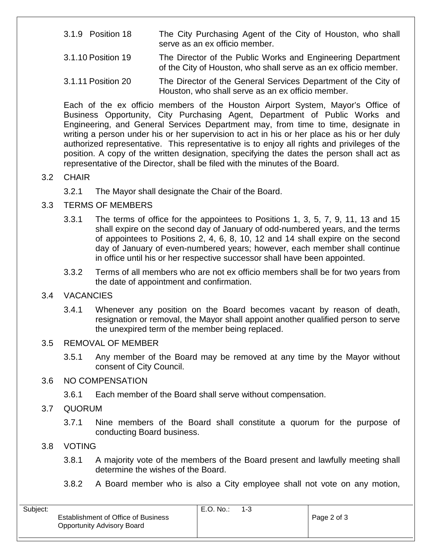- 3.1.9 Position 18 The City Purchasing Agent of the City of Houston, who shall serve as an ex officio member.
- 3.1.10 Position 19 The Director of the Public Works and Engineering Department of the City of Houston, who shall serve as an ex officio member.
- 3.1.11 Position 20 The Director of the General Services Department of the City of Houston, who shall serve as an ex officio member.

Each of the ex officio members of the Houston Airport System, Mayor's Office of Business Opportunity, City Purchasing Agent, Department of Public Works and Engineering, and General Services Department may, from time to time, designate in writing a person under his or her supervision to act in his or her place as his or her duly authorized representative. This representative is to enjoy all rights and privileges of the position. A copy of the written designation, specifying the dates the person shall act as representative of the Director, shall be filed with the minutes of the Board.

#### 3.2 CHAIR

- 3.2.1 The Mayor shall designate the Chair of the Board.
- 3.3 TERMS OF MEMBERS
	- 3.3.1 The terms of office for the appointees to Positions 1, 3, 5, 7, 9, 11, 13 and 15 shall expire on the second day of January of odd-numbered years, and the terms of appointees to Positions 2, 4, 6, 8, 10, 12 and 14 shall expire on the second day of January of even-numbered years; however, each member shall continue in office until his or her respective successor shall have been appointed.
	- 3.3.2 Terms of all members who are not ex officio members shall be for two years from the date of appointment and confirmation.

## 3.4 VACANCIES

3.4.1 Whenever any position on the Board becomes vacant by reason of death, resignation or removal, the Mayor shall appoint another qualified person to serve the unexpired term of the member being replaced.

## 3.5 REMOVAL OF MEMBER

3.5.1 Any member of the Board may be removed at any time by the Mayor without consent of City Council.

## 3.6 NO COMPENSATION

3.6.1 Each member of the Board shall serve without compensation.

## 3.7 QUORUM

3.7.1 Nine members of the Board shall constitute a quorum for the purpose of conducting Board business.

## 3.8 VOTING

- 3.8.1 A majority vote of the members of the Board present and lawfully meeting shall determine the wishes of the Board.
- 3.8.2 A Board member who is also a City employee shall not vote on any motion,

| Subject:                                                                 | E.O. No.: | 1-3 |             |
|--------------------------------------------------------------------------|-----------|-----|-------------|
| <b>Establishment of Office of Business</b><br>Opportunity Advisory Board |           |     | Page 2 of 3 |